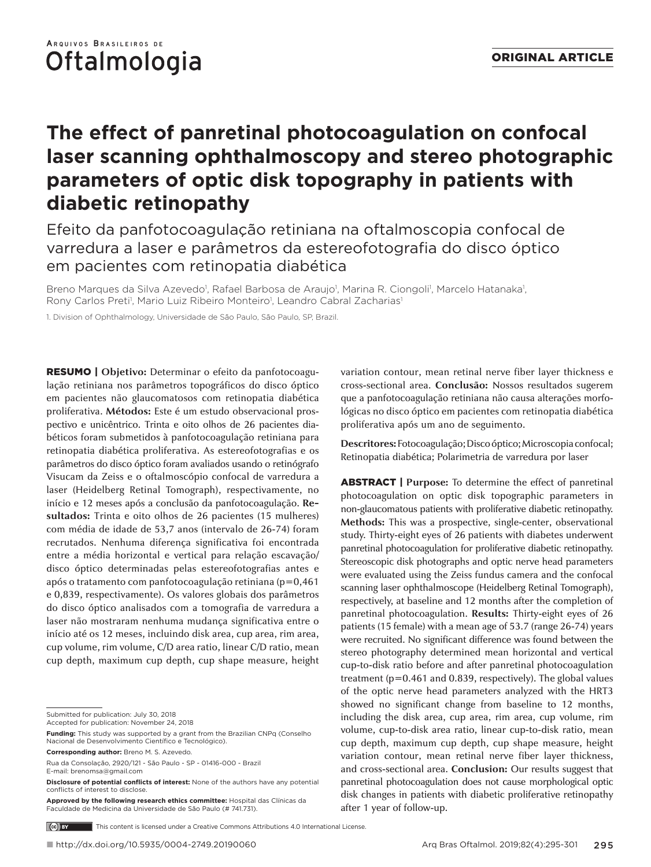## ARQUIVOS BRASILEIROS DE Oftalmologia

# **The effect of panretinal photocoagulation on confocal laser scanning ophthalmoscopy and stereo photographic parameters of optic disk topography in patients with diabetic retinopathy**

## Efeito da panfotocoagulação retiniana na oftalmoscopia confocal de varredura a laser e parâmetros da estereofotografia do disco óptico em pacientes com retinopatia diabética

Breno Marques da Silva Azevedo<sup>1</sup>, Rafael Barbosa de Araujo<sup>1</sup>, Marina R. Ciongoli<sup>1</sup>, Marcelo Hatanaka<sup>1</sup>, Rony Carlos Preti<sup>1</sup>, Mario Luiz Ribeiro Monteiro<sup>1</sup>, Leandro Cabral Zacharias<sup>1</sup>

1. Division of Ophthalmology, Universidade de São Paulo, São Paulo, SP, Brazil.

RESUMO | **Objetivo:** Determinar o efeito da panfotocoagulação retiniana nos parâmetros topográficos do disco óptico em pacientes não glaucomatosos com retinopatia diabética proliferativa. **Métodos:** Este é um estudo observacional prospectivo e unicêntrico. Trinta e oito olhos de 26 pacientes diabéticos foram submetidos à panfotocoagulação retiniana para retinopatia diabética proliferativa. As estereofotografias e os parâmetros do disco óptico foram avaliados usando o retinógrafo Visucam da Zeiss e o oftalmoscópio confocal de varredura a laser (Heidelberg Retinal Tomograph), respectivamente, no início e 12 meses após a conclusão da panfotocoagulação. **Resultados:** Trinta e oito olhos de 26 pacientes (15 mulheres) com média de idade de 53,7 anos (intervalo de 26-74) foram recrutados. Nenhuma diferença significativa foi encontrada entre a média horizontal e vertical para relação escavação/ disco óptico determinadas pelas estereofotografias antes e após o tratamento com panfotocoagulação retiniana (p=0,461 e 0,839, respectivamente). Os valores globais dos parâmetros do disco óptico analisados com a tomografia de varredura a laser não mostraram nenhuma mudança significativa entre o início até os 12 meses, incluindo disk area, cup area, rim area, cup volume, rim volume, C/D area ratio, linear C/D ratio, mean cup depth, maximum cup depth, cup shape measure, height

Submitted for publication: July 30, 2018

**Funding:** This study was supported by a grant from the Brazilian CNPq (Conselho Nacional de Desenvolvimento Científico e Tecnológico).

**Corresponding author:** Breno M. S. Azevedo.

**Disclosure of potential conflicts of interest:** None of the authors have any potential conflicts of interest to disclose.

**Approved by the following research ethics committee:** Hospital das Clínicas da Faculdade de Medicina da Universidade de São Paulo (# 741.731).

variation contour, mean retinal nerve fiber layer thickness e cross-sectional area. **Conclusão:** Nossos resultados sugerem que a panfotocoagulação retiniana não causa alterações morfológicas no disco óptico em pacientes com retinopatia diabética proliferativa após um ano de seguimento.

**Descritores:** Fotocoagulação; Disco óptico; Microscopia confocal; Retinopatia diabética; Polarimetria de varredura por laser

ABSTRACT | **Purpose:** To determine the effect of panretinal photocoagulation on optic disk topographic parameters in non-glaucomatous patients with proliferative diabetic retinopathy. **Methods:** This was a prospective, single-center, observational study. Thirty-eight eyes of 26 patients with diabetes underwent panretinal photocoagulation for proliferative diabetic retinopathy. Stereoscopic disk photographs and optic nerve head parameters were evaluated using the Zeiss fundus camera and the confocal scanning laser ophthalmoscope (Heidelberg Retinal Tomograph), respectively, at baseline and 12 months after the completion of panretinal photocoagulation. **Results:** Thirty-eight eyes of 26 patients (15 female) with a mean age of 53.7 (range 26-74) years were recruited. No significant difference was found between the stereo photography determined mean horizontal and vertical cup-to-disk ratio before and after panretinal photocoagulation treatment (p=0.461 and 0.839, respectively). The global values of the optic nerve head parameters analyzed with the HRT3 showed no significant change from baseline to 12 months, including the disk area, cup area, rim area, cup volume, rim volume, cup-to-disk area ratio, linear cup-to-disk ratio, mean cup depth, maximum cup depth, cup shape measure, height variation contour, mean retinal nerve fiber layer thickness, and cross-sectional area. **Conclusion:** Our results suggest that panretinal photocoagulation does not cause morphological optic disk changes in patients with diabetic proliferative retinopathy after 1 year of follow-up.

This content is licensed under a Creative Commons Attributions 4.0 International License.

Accepted for publication: November 24, 2018

Rua da Consolação, 2920/121 - São Paulo - SP - 01416-000 - Brazil E-mail: brenomsa@gmail.com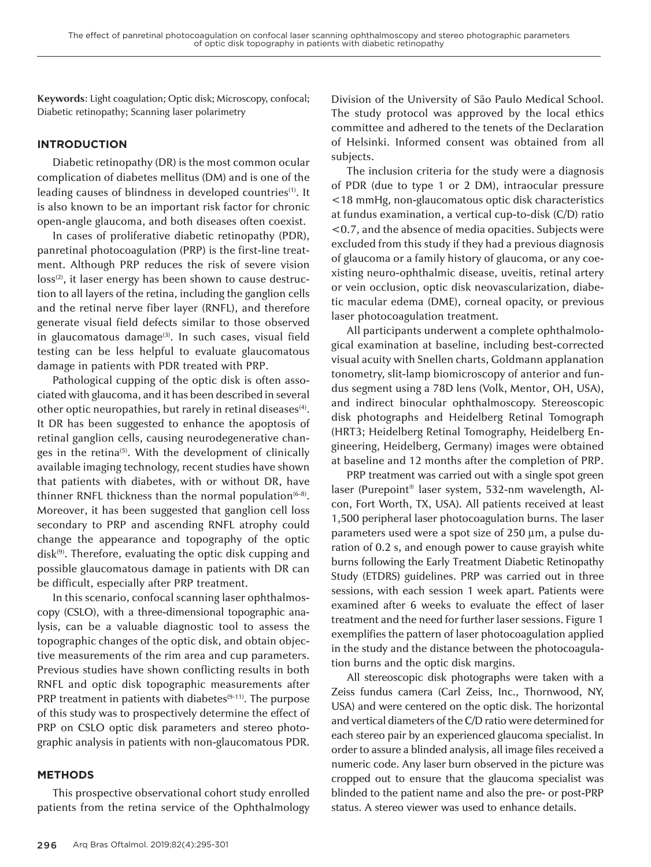**Keywords**: Light coagulation; Optic disk; Microscopy, confocal; Diabetic retinopathy; Scanning laser polarimetry

#### **INTRODUCTION**

Diabetic retinopathy (DR) is the most common ocular complication of diabetes mellitus (DM) and is one of the leading causes of blindness in developed countries<sup>(1)</sup>. It is also known to be an important risk factor for chronic open-angle glaucoma, and both diseases often coexist.

In cases of proliferative diabetic retinopathy (PDR), panretinal photocoagulation (PRP) is the first-line treatment. Although PRP reduces the risk of severe vision loss<sup>(2)</sup>, it laser energy has been shown to cause destruction to all layers of the retina, including the ganglion cells and the retinal nerve fiber layer (RNFL), and therefore generate visual field defects similar to those observed in glaucomatous damage<sup>(3)</sup>. In such cases, visual field testing can be less helpful to evaluate glaucomatous damage in patients with PDR treated with PRP.

Pathological cupping of the optic disk is often associated with glaucoma, and it has been described in several other optic neuropathies, but rarely in retinal diseases<sup>(4)</sup>. It DR has been suggested to enhance the apoptosis of retinal ganglion cells, causing neurodegenerative changes in the retina<sup>(5)</sup>. With the development of clinically available imaging technology, recent studies have shown that patients with diabetes, with or without DR, have thinner RNFL thickness than the normal population $(6-8)$ . Moreover, it has been suggested that ganglion cell loss secondary to PRP and ascending RNFL atrophy could change the appearance and topography of the optic disk<sup>(9)</sup>. Therefore, evaluating the optic disk cupping and possible glaucomatous damage in patients with DR can be difficult, especially after PRP treatment.

In this scenario, confocal scanning laser ophthalmoscopy (CSLO), with a three-dimensional topographic analysis, can be a valuable diagnostic tool to assess the topographic changes of the optic disk, and obtain objective measurements of the rim area and cup parameters. Previous studies have shown conflicting results in both RNFL and optic disk topographic measurements after PRP treatment in patients with diabetes<sup>(9-11)</sup>. The purpose of this study was to prospectively determine the effect of PRP on CSLO optic disk parameters and stereo photographic analysis in patients with non-glaucomatous PDR.

#### **METHODS**

This prospective observational cohort study enrolled patients from the retina service of the Ophthalmology Division of the University of São Paulo Medical School. The study protocol was approved by the local ethics committee and adhered to the tenets of the Declaration of Helsinki. Informed consent was obtained from all subjects.

The inclusion criteria for the study were a diagnosis of PDR (due to type 1 or 2 DM), intraocular pressure <18 mmHg, non-glaucomatous optic disk characteristics at fundus examination, a vertical cup-to-disk (C/D) ratio <0.7, and the absence of media opacities. Subjects were excluded from this study if they had a previous diagnosis of glaucoma or a family history of glaucoma, or any coexisting neuro-ophthalmic disease, uveitis, retinal artery or vein occlusion, optic disk neovascularization, diabetic macular edema (DME), corneal opacity, or previous laser photocoagulation treatment.

All participants underwent a complete ophthalmological examination at baseline, including best-corrected visual acuity with Snellen charts, Goldmann applanation tonometry, slit-lamp biomicroscopy of anterior and fundus segment using a 78D lens (Volk, Mentor, OH, USA), and indirect binocular ophthalmoscopy. Stereoscopic disk photographs and Heidelberg Retinal Tomograph (HRT3; Heidelberg Retinal Tomography, Heidelberg Engineering, Heidelberg, Germany) images were obtained at baseline and 12 months after the completion of PRP.

PRP treatment was carried out with a single spot green laser (Purepoint® laser system, 532-nm wavelength, Alcon, Fort Worth, TX, USA). All patients received at least 1,500 peripheral laser photocoagulation burns. The laser parameters used were a spot size of 250 µm, a pulse duration of 0.2 s, and enough power to cause grayish white burns following the Early Treatment Diabetic Retinopathy Study (ETDRS) guidelines. PRP was carried out in three sessions, with each session 1 week apart. Patients were examined after 6 weeks to evaluate the effect of laser treatment and the need for further laser sessions. Figure 1 exemplifies the pattern of laser photocoagulation applied in the study and the distance between the photocoagulation burns and the optic disk margins.

All stereoscopic disk photographs were taken with a Zeiss fundus camera (Carl Zeiss, Inc., Thornwood, NY, USA) and were centered on the optic disk. The horizontal and vertical diameters of the C/D ratio were determined for each stereo pair by an experienced glaucoma specialist. In order to assure a blinded analysis, all image files received a numeric code. Any laser burn observed in the picture was cropped out to ensure that the glaucoma specialist was blinded to the patient name and also the pre- or post-PRP status. A stereo viewer was used to enhance details.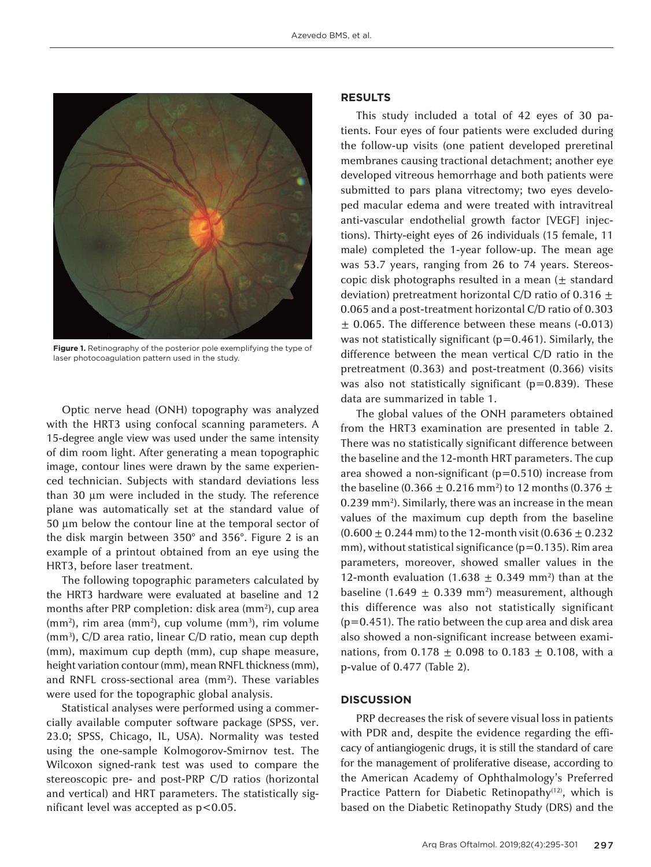

**Figure 1.** Retinography of the posterior pole exemplifying the type of laser photocoagulation pattern used in the study.

Optic nerve head (ONH) topography was analyzed with the HRT3 using confocal scanning parameters. A 15-degree angle view was used under the same intensity of dim room light. After generating a mean topographic image, contour lines were drawn by the same experienced technician. Subjects with standard deviations less than 30 µm were included in the study. The reference plane was automatically set at the standard value of 50 µm below the contour line at the temporal sector of the disk margin between 350° and 356°. Figure 2 is an example of a printout obtained from an eye using the HRT3, before laser treatment.

The following topographic parameters calculated by the HRT3 hardware were evaluated at baseline and 12 months after PRP completion: disk area (mm<sup>2</sup>), cup area  $(mm<sup>2</sup>)$ , rim area  $(mm<sup>2</sup>)$ , cup volume  $(mm<sup>3</sup>)$ , rim volume (mm3), C/D area ratio, linear C/D ratio, mean cup depth (mm), maximum cup depth (mm), cup shape measure, height variation contour (mm), mean RNFL thickness (mm), and RNFL cross-sectional area (mm<sup>2</sup>). These variables were used for the topographic global analysis.

Statistical analyses were performed using a commercially available computer software package (SPSS, ver. 23.0; SPSS, Chicago, IL, USA). Normality was tested using the one-sample Kolmogorov-Smirnov test. The Wilcoxon signed-rank test was used to compare the stereoscopic pre- and post-PRP C/D ratios (horizontal and vertical) and HRT parameters. The statistically significant level was accepted as p<0.05.

#### **RESULTS**

This study included a total of 42 eyes of 30 patients. Four eyes of four patients were excluded during the follow-up visits (one patient developed preretinal membranes causing tractional detachment; another eye developed vitreous hemorrhage and both patients were submitted to pars plana vitrectomy; two eyes developed macular edema and were treated with intravitreal anti-vascular endothelial growth factor [VEGF] injections). Thirty-eight eyes of 26 individuals (15 female, 11 male) completed the 1-year follow-up. The mean age was 53.7 years, ranging from 26 to 74 years. Stereoscopic disk photographs resulted in a mean  $(\pm$  standard deviation) pretreatment horizontal C/D ratio of 0.316  $\pm$ 0.065 and a post-treatment horizontal C/D ratio of 0.303  $\pm$  0.065. The difference between these means (-0.013) was not statistically significant (p=0.461). Similarly, the difference between the mean vertical C/D ratio in the pretreatment (0.363) and post-treatment (0.366) visits was also not statistically significant ( $p=0.839$ ). These data are summarized in table 1.

The global values of the ONH parameters obtained from the HRT3 examination are presented in table 2. There was no statistically significant difference between the baseline and the 12-month HRT parameters. The cup area showed a non-significant ( $p=0.510$ ) increase from the baseline (0.366  $\pm$  0.216 mm<sup>2</sup>) to 12 months (0.376  $\pm$ 0.239 mm2). Similarly, there was an increase in the mean values of the maximum cup depth from the baseline  $(0.600 \pm 0.244 \text{ mm})$  to the 12-month visit  $(0.636 \pm 0.232 \text{ m})$ mm), without statistical significance ( $p=0.135$ ). Rim area parameters, moreover, showed smaller values in the 12-month evaluation (1.638  $\pm$  0.349 mm<sup>2</sup>) than at the baseline (1.649  $\pm$  0.339 mm<sup>2</sup>) measurement, although this difference was also not statistically significant (p=0.451). The ratio between the cup area and disk area also showed a non-significant increase between examinations, from  $0.178 \pm 0.098$  to  $0.183 \pm 0.108$ , with a p*-*value of 0.477 (Table 2).

#### **DISCUSSION**

PRP decreases the risk of severe visual loss in patients with PDR and, despite the evidence regarding the efficacy of antiangiogenic drugs, it is still the standard of care for the management of proliferative disease, according to the American Academy of Ophthalmology's Preferred Practice Pattern for Diabetic Retinopathy<sup>(12)</sup>, which is based on the Diabetic Retinopathy Study (DRS) and the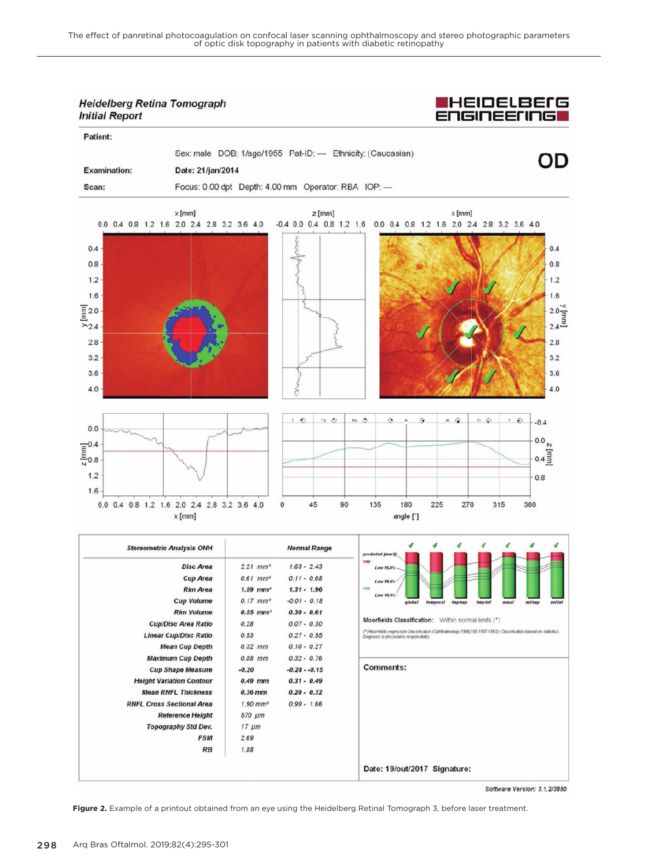### **Heidelberg Retina Tomograph Initial Report**



| Patient:                                                                                                                                                                                                                                                                                                                                                                                                                                                                                                                 |                                                         |                                                                                                                       |                                                                                                       |                                                                                                                        |
|--------------------------------------------------------------------------------------------------------------------------------------------------------------------------------------------------------------------------------------------------------------------------------------------------------------------------------------------------------------------------------------------------------------------------------------------------------------------------------------------------------------------------|---------------------------------------------------------|-----------------------------------------------------------------------------------------------------------------------|-------------------------------------------------------------------------------------------------------|------------------------------------------------------------------------------------------------------------------------|
| <b>Examination:</b><br>Scan:                                                                                                                                                                                                                                                                                                                                                                                                                                                                                             | Date: 21/jan/2014                                       | Sex: male DOB: 1/ago/1955 Pat-ID: --- Ethnicity: (Caucasian)<br>Focus: 0.00 dpt Depth: 4.00 mm Operator: RBA IOP: --- |                                                                                                       | OD                                                                                                                     |
| 0.4<br>0.8<br>$1.2 -$<br>1.6<br>$\begin{array}{c}\n\boxed{2.0} \\ \phantom{00} \\ \phantom{00} \\ \phantom{00} \\ \phantom{00} \\ \phantom{00} \\ \phantom{00} \\ \phantom{00} \\ \phantom{00} \\ \phantom{00} \\ \phantom{00} \\ \phantom{00} \\ \phantom{00} \\ \phantom{00} \\ \phantom{00} \\ \phantom{00} \\ \phantom{00} \\ \phantom{00} \\ \phantom{00} \\ \phantom{00} \\ \phantom{00} \\ \phantom{00} \\ \phantom{00} \\ \phantom{00} \\ \phantom{00} \\ \phantom{00} \\ \phantom{$<br>2.8<br>3.2<br>3.6<br>4.0 | $x$ [mm]<br>0.0 0.4 0.8 1.2 1.6 2.0 2.4 2.8 3.2 3.6 4.0 | $z$ [mm]                                                                                                              | $x$ [mm]<br>$-0.4$ 0.0 0.4 0.8 1.2 1.6 0.0 0.4 0.8 1.2 1.6 2.0 2.4 2.8 3.2 3.6 4.0                    | 0.4<br>0.8<br>1.2<br>1.6<br>$2.0 \overline{\overline{3}}$<br>$2.4 \overline{\overline{3}}$<br>2.8<br>3.2<br>3.6<br>4.0 |
| 0.0<br>$\frac{1}{8}$ 0.8<br>1.2<br>1.6                                                                                                                                                                                                                                                                                                                                                                                                                                                                                   | 0.0 0.4 0.8 1.2 1.6 2.0 2.4 2.8 3.2 3.6 4.0<br>$x$ [mm] | $T$ $\odot$<br>$TS$ $Q$<br>$NS$ $O$<br>$\mathbf 0$<br>45<br>90                                                        | $\ddot{ }$<br>$\omega$ is<br>$\pi$ $\Omega$<br>$\Theta$<br>N<br>135<br>180<br>270<br>225<br>angle [°] | $T$ $\odot$<br>$-0.4$<br>$0.0\,$ $_{\rm N}$<br>$0.4 \overline{3}$<br>0.8<br>315<br>360                                 |

| <b>Stereometric Analysis ONH</b> | <b>Normal Range</b>    |                | predicted (mm2)                                                                                                                                              |  |  |  |  |  |
|----------------------------------|------------------------|----------------|--------------------------------------------------------------------------------------------------------------------------------------------------------------|--|--|--|--|--|
| <b>Disc Area</b>                 | $2.21$ mm <sup>2</sup> | $1.63 - 2.43$  | cap<br>Low 95.0%                                                                                                                                             |  |  |  |  |  |
| <b>Cup Area</b>                  | $0.61$ mm <sup>2</sup> | $0.11 - 0.68$  | Low 99.0%                                                                                                                                                    |  |  |  |  |  |
| <b>Rim Area</b>                  | $1.59$ mm <sup>2</sup> | $1.31 - 1.96$  | rim<br>Low 99.9%                                                                                                                                             |  |  |  |  |  |
| <b>Cup Volume</b>                | $0.17$ mm <sup>3</sup> | $-0.01 - 0.18$ | mslänf<br>global<br>tmp.inf<br>nasai<br>asisup<br>temporal<br>$tmp \, sup$                                                                                   |  |  |  |  |  |
| <b>Rim Volume</b>                | $0.55$ mm <sup>3</sup> | $0.30 - 0.61$  |                                                                                                                                                              |  |  |  |  |  |
| <b>Cup/Disc Area Ratio</b>       | 0.28                   | $0.07 - 0.30$  | Moorfields Classification: Within normal limits (*)                                                                                                          |  |  |  |  |  |
| <b>Linear Cup/Disc Ratio</b>     | 0.53                   | $0.27 - 0.55$  | (*) Moorfields regression classification (Ophthalmology 1998;105:1557-1563). Classification based on statistics.<br>Diagnosis is physician's responsibility. |  |  |  |  |  |
| <b>Mean Cup Depth</b>            | $0.32$ mm              | $0.10 - 0.27$  |                                                                                                                                                              |  |  |  |  |  |
| <b>Maximum Cup Depth</b>         | $0.88$ mm              | $0.32 - 0.76$  |                                                                                                                                                              |  |  |  |  |  |
| <b>Cup Shape Measure</b>         | $-0.20$                | $-0.28 - 0.15$ | <b>Comments:</b>                                                                                                                                             |  |  |  |  |  |
| <b>Height Variation Contour</b>  | $0.49$ mm              | $0.31 - 0.49$  |                                                                                                                                                              |  |  |  |  |  |
| <b>Mean RNFL Thickness</b>       | $0.36$ mm              | $0.20 - 0.32$  |                                                                                                                                                              |  |  |  |  |  |
| <b>RNFL Cross Sectional Area</b> | $1.90$ mm <sup>2</sup> | $0.99 - 1.66$  |                                                                                                                                                              |  |  |  |  |  |
| <b>Reference Height</b>          | 570 µm                 |                |                                                                                                                                                              |  |  |  |  |  |
| <b>Topography Std Dev.</b>       | $17 \mu m$             |                |                                                                                                                                                              |  |  |  |  |  |
| <b>FSM</b>                       | 2.69                   |                |                                                                                                                                                              |  |  |  |  |  |
| RB                               | 1.88                   |                |                                                                                                                                                              |  |  |  |  |  |
|                                  |                        |                | Date: 19/out/2017 Signature:                                                                                                                                 |  |  |  |  |  |

Software Version: 3.1.2/3850

**Figure 2.** Example of a printout obtained from an eye using the Heidelberg Retinal Tomograph 3, before laser treatment.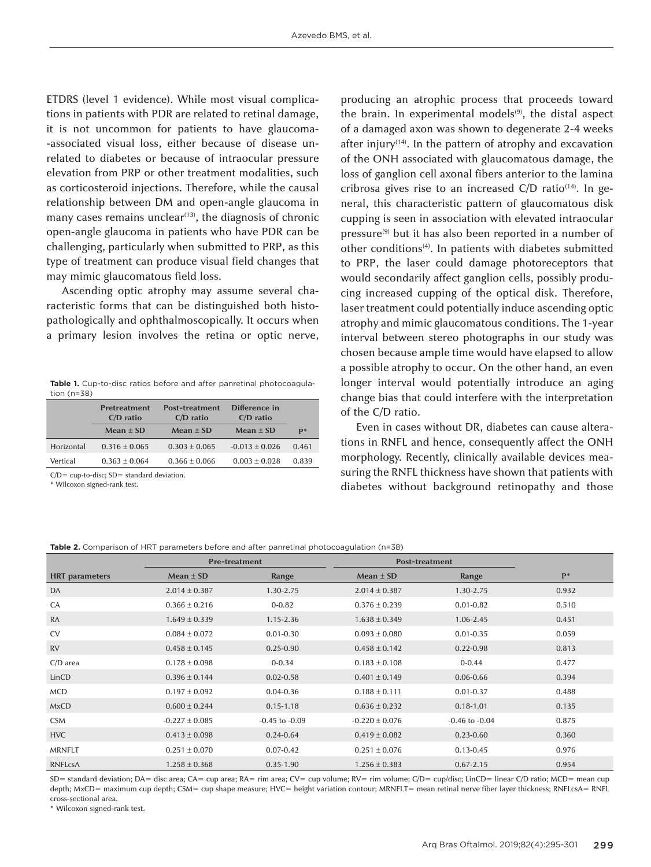ETDRS (level 1 evidence). While most visual complications in patients with PDR are related to retinal damage, it is not uncommon for patients to have glaucoma -associated visual loss, either because of disease unrelated to diabetes or because of intraocular pressure elevation from PRP or other treatment modalities, such as corticosteroid injections. Therefore, while the causal relationship between DM and open-angle glaucoma in many cases remains unclear $(13)$ , the diagnosis of chronic open-angle glaucoma in patients who have PDR can be challenging, particularly when submitted to PRP, as this type of treatment can produce visual field changes that may mimic glaucomatous field loss.

Ascending optic atrophy may assume several characteristic forms that can be distinguished both histopathologically and ophthalmoscopically. It occurs when a primary lesion involves the retina or optic nerve,

Table 1. Cup-to-disc ratios before and after panretinal photocoagulation (n=38)

|            | Pretreatment<br>$C/D$ ratio | Post-treatment<br>$C/D$ ratio | Difference in<br>$C/D$ ratio |                |
|------------|-----------------------------|-------------------------------|------------------------------|----------------|
|            | $Mean + SD$                 | $Mean + SD$                   | $Mean + SD$                  | $\mathbf{p}^*$ |
| Horizontal | $0.316 \pm 0.065$           | $0.303 \pm 0.065$             | $-0.013 \pm 0.026$           | 0.461          |
| Vertical   | $0.363 \pm 0.064$           | $0.366 \pm 0.066$             | $0.003 \pm 0.028$            | 0.839          |

 $C/D =$  cup-to-disc:  $SD =$  standard deviation.

\* Wilcoxon signed-rank test.

producing an atrophic process that proceeds toward the brain. In experimental models<sup>(9)</sup>, the distal aspect of a damaged axon was shown to degenerate 2-4 weeks after injury<sup>(14)</sup>. In the pattern of atrophy and excavation of the ONH associated with glaucomatous damage, the loss of ganglion cell axonal fibers anterior to the lamina cribrosa gives rise to an increased C/D ratio $(14)$ . In general, this characteristic pattern of glaucomatous disk cupping is seen in association with elevated intraocular pressure<sup>(9)</sup> but it has also been reported in a number of other conditions<sup>(4)</sup>. In patients with diabetes submitted to PRP, the laser could damage photoreceptors that would secondarily affect ganglion cells, possibly producing increased cupping of the optical disk. Therefore, laser treatment could potentially induce ascending optic atrophy and mimic glaucomatous conditions. The 1-year interval between stereo photographs in our study was chosen because ample time would have elapsed to allow a possible atrophy to occur. On the other hand, an even longer interval would potentially introduce an aging change bias that could interfere with the interpretation of the C/D ratio.

Even in cases without DR, diabetes can cause alterations in RNFL and hence, consequently affect the ONH morphology. Recently, clinically available devices measuring the RNFL thickness have shown that patients with diabetes without background retinopathy and those

#### **Table 2.** Comparison of HRT parameters before and after panretinal photocoagulation (n=38)

|                       | <b>Pre-treatment</b> |                    | Post-treatment     |                    |       |
|-----------------------|----------------------|--------------------|--------------------|--------------------|-------|
| <b>HRT</b> parameters | Mean $\pm$ SD        | Range              | Mean $\pm$ SD      | Range              | $P*$  |
| DA                    | $2.014 \pm 0.387$    | 1.30-2.75          | $2.014 \pm 0.387$  | 1.30-2.75          | 0.932 |
| CA                    | $0.366 \pm 0.216$    | $0 - 0.82$         | $0.376 \pm 0.239$  | $0.01 - 0.82$      | 0.510 |
| <b>RA</b>             | $1.649 \pm 0.339$    | $1.15 - 2.36$      | $1.638 \pm 0.349$  | $1.06 - 2.45$      | 0.451 |
| <b>CV</b>             | $0.084 \pm 0.072$    | $0.01 - 0.30$      | $0.093 \pm 0.080$  | $0.01 - 0.35$      | 0.059 |
| <b>RV</b>             | $0.458 \pm 0.145$    | $0.25 - 0.90$      | $0.458 \pm 0.142$  | $0.22 - 0.98$      | 0.813 |
| $C/D$ area            | $0.178 \pm 0.098$    | $0 - 0.34$         | $0.183 \pm 0.108$  | $0 - 0.44$         | 0.477 |
| LinCD                 | $0.396 \pm 0.144$    | $0.02 - 0.58$      | $0.401 \pm 0.149$  | $0.06 - 0.66$      | 0.394 |
| <b>MCD</b>            | $0.197 \pm 0.092$    | $0.04 - 0.36$      | $0.188 \pm 0.111$  | $0.01 - 0.37$      | 0.488 |
| <b>MxCD</b>           | $0.600 \pm 0.244$    | $0.15 - 1.18$      | $0.636 \pm 0.232$  | $0.18 - 1.01$      | 0.135 |
| <b>CSM</b>            | $-0.227 \pm 0.085$   | $-0.45$ to $-0.09$ | $-0.220 \pm 0.076$ | $-0.46$ to $-0.04$ | 0.875 |
| <b>HVC</b>            | $0.413 \pm 0.098$    | $0.24 - 0.64$      | $0.419 \pm 0.082$  | $0.23 - 0.60$      | 0.360 |
| <b>MRNFLT</b>         | $0.251 \pm 0.070$    | $0.07 - 0.42$      | $-0.251 \pm 0.076$ | $0.13 - 0.45$      | 0.976 |
| <b>RNFLcsA</b>        | $1.258 \pm 0.368$    | $0.35 - 1.90$      | $1.256 \pm 0.383$  | $0.67 - 2.15$      | 0.954 |

SD= standard deviation; DA= disc area; CA= cup area; RA= rim area; CV= cup volume; RV= rim volume; C/D= cup/disc; LinCD= linear C/D ratio; MCD= mean cup depth; MxCD= maximum cup depth; CSM= cup shape measure; HVC= height variation contour; MRNFLT= mean retinal nerve fiber layer thickness; RNFLcsA= RNFL cross-sectional area.

\* Wilcoxon signed-rank test.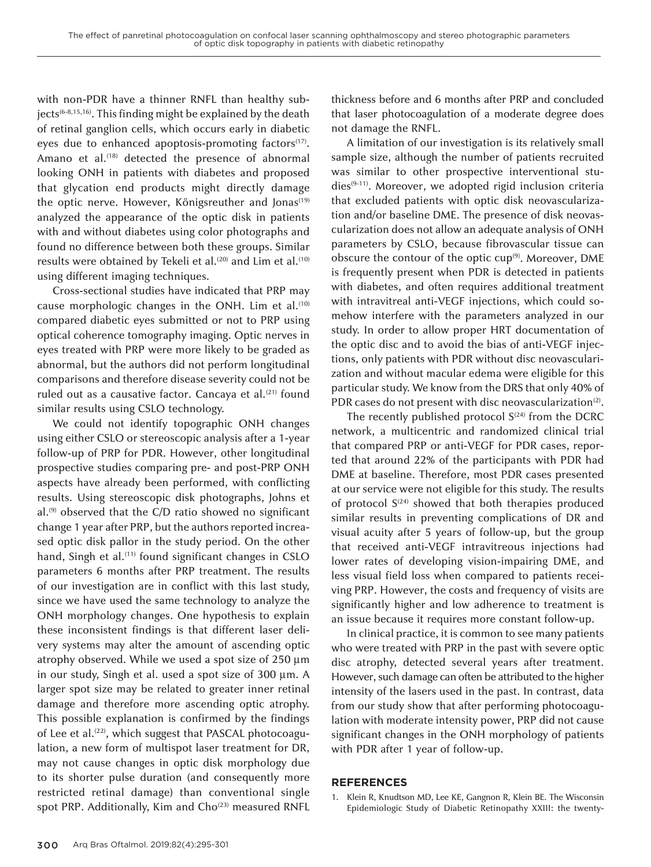with non-PDR have a thinner RNFL than healthy subjects<sup>(6-8,15,16)</sup>. This finding might be explained by the death of retinal ganglion cells, which occurs early in diabetic eyes due to enhanced apoptosis-promoting factors<sup>(17)</sup>. Amano et al.<sup>(18)</sup> detected the presence of abnormal looking ONH in patients with diabetes and proposed that glycation end products might directly damage the optic nerve. However, Königsreuther and Jonas<sup>(19)</sup> analyzed the appearance of the optic disk in patients with and without diabetes using color photographs and found no difference between both these groups. Similar results were obtained by Tekeli et al.<sup>(20)</sup> and Lim et al.<sup>(10)</sup> using different imaging techniques.

Cross-sectional studies have indicated that PRP may cause morphologic changes in the ONH. Lim et al.<sup>(10)</sup> compared diabetic eyes submitted or not to PRP using optical coherence tomography imaging. Optic nerves in eyes treated with PRP were more likely to be graded as abnormal, but the authors did not perform longitudinal comparisons and therefore disease severity could not be ruled out as a causative factor. Cancaya et al.<sup>(21)</sup> found similar results using CSLO technology.

We could not identify topographic ONH changes using either CSLO or stereoscopic analysis after a 1-year follow-up of PRP for PDR. However, other longitudinal prospective studies comparing pre- and post-PRP ONH aspects have already been performed, with conflicting results. Using stereoscopic disk photographs, Johns et al.<sup>(9)</sup> observed that the C/D ratio showed no significant change 1 year after PRP, but the authors reported increased optic disk pallor in the study period. On the other hand, Singh et al.<sup>(11)</sup> found significant changes in CSLO parameters 6 months after PRP treatment. The results of our investigation are in conflict with this last study, since we have used the same technology to analyze the ONH morphology changes. One hypothesis to explain these inconsistent findings is that different laser delivery systems may alter the amount of ascending optic atrophy observed. While we used a spot size of 250 µm in our study, Singh et al. used a spot size of 300 µm. A larger spot size may be related to greater inner retinal damage and therefore more ascending optic atrophy. This possible explanation is confirmed by the findings of Lee et al.<sup>(22)</sup>, which suggest that PASCAL photocoagulation, a new form of multispot laser treatment for DR, may not cause changes in optic disk morphology due to its shorter pulse duration (and consequently more restricted retinal damage) than conventional single spot PRP. Additionally, Kim and Cho<sup>(23)</sup> measured RNFL thickness before and 6 months after PRP and concluded that laser photocoagulation of a moderate degree does not damage the RNFL.

A limitation of our investigation is its relatively small sample size, although the number of patients recruited was similar to other prospective interventional studies<sup>(9-11)</sup>. Moreover, we adopted rigid inclusion criteria that excluded patients with optic disk neovascularization and/or baseline DME. The presence of disk neovascularization does not allow an adequate analysis of ONH parameters by CSLO, because fibrovascular tissue can obscure the contour of the optic cup<sup>(9)</sup>. Moreover, DME is frequently present when PDR is detected in patients with diabetes, and often requires additional treatment with intravitreal anti-VEGF injections, which could somehow interfere with the parameters analyzed in our study. In order to allow proper HRT documentation of the optic disc and to avoid the bias of anti-VEGF injections, only patients with PDR without disc neovascularization and without macular edema were eligible for this particular study. We know from the DRS that only 40% of PDR cases do not present with disc neovascularization<sup>(2)</sup>.

The recently published protocol  $S^{(24)}$  from the DCRC network, a multicentric and randomized clinical trial that compared PRP or anti-VEGF for PDR cases, reported that around 22% of the participants with PDR had DME at baseline. Therefore, most PDR cases presented at our service were not eligible for this study. The results of protocol  $S^{(24)}$  showed that both therapies produced similar results in preventing complications of DR and visual acuity after 5 years of follow-up, but the group that received anti-VEGF intravitreous injections had lower rates of developing vision-impairing DME, and less visual field loss when compared to patients receiving PRP. However, the costs and frequency of visits are significantly higher and low adherence to treatment is an issue because it requires more constant follow-up.

In clinical practice, it is common to see many patients who were treated with PRP in the past with severe optic disc atrophy, detected several years after treatment. However, such damage can often be attributed to the higher intensity of the lasers used in the past. In contrast, data from our study show that after performing photocoagulation with moderate intensity power, PRP did not cause significant changes in the ONH morphology of patients with PDR after 1 year of follow-up.

#### **REFERENCES**

Klein R, Knudtson MD, Lee KE, Gangnon R, Klein BE. The Wisconsin Epidemiologic Study of Diabetic Retinopathy XXIII: the twenty